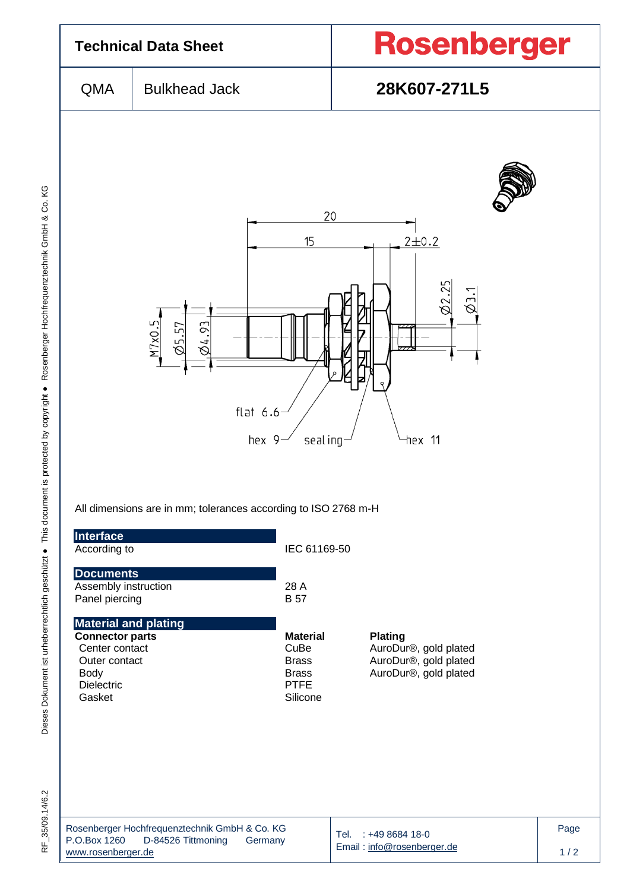

Dieses Dokument ist urheberrechtlich geschützt ● This document is protected by copyright ● Rosenberger Hochfrequenztechnik GmbH & Co. KG F\_35/09.14/6.2 Dieses Dokument ist urheberrechtlich geschützt ● This document is protected by copyright ● Rosenberger Hochfrequenztechnik GmbH & Co. KG

RF 35/09.14/6.2